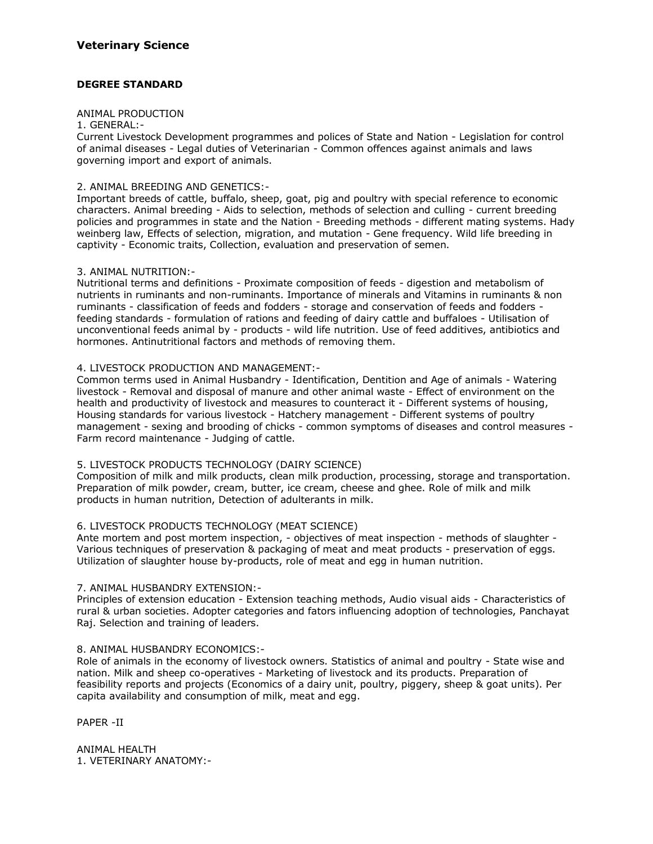## **DEGREE STANDARD**

#### ANIMAL PRODUCTION

## 1. GENERAL:-

Current Livestock Development programmes and polices of State and Nation - Legislation for control of animal diseases - Legal duties of Veterinarian - Common offences against animals and laws governing import and export of animals.

#### 2. ANIMAL BREEDING AND GENETICS:-

Important breeds of cattle, buffalo, sheep, goat, pig and poultry with special reference to economic characters. Animal breeding - Aids to selection, methods of selection and culling - current breeding policies and programmes in state and the Nation - Breeding methods - different mating systems. Hady weinberg law, Effects of selection, migration, and mutation - Gene frequency. Wild life breeding in captivity - Economic traits, Collection, evaluation and preservation of semen.

#### 3. ANIMAL NUTRITION:-

Nutritional terms and definitions - Proximate composition of feeds - digestion and metabolism of nutrients in ruminants and non-ruminants. Importance of minerals and Vitamins in ruminants & non ruminants - classification of feeds and fodders - storage and conservation of feeds and fodders feeding standards - formulation of rations and feeding of dairy cattle and buffaloes - Utilisation of unconventional feeds animal by - products - wild life nutrition. Use of feed additives, antibiotics and hormones. Antinutritional factors and methods of removing them.

#### 4. LIVESTOCK PRODUCTION AND MANAGEMENT:-

Common terms used in Animal Husbandry - Identification, Dentition and Age of animals - Watering livestock - Removal and disposal of manure and other animal waste - Effect of environment on the health and productivity of livestock and measures to counteract it - Different systems of housing, Housing standards for various livestock - Hatchery management - Different systems of poultry management - sexing and brooding of chicks - common symptoms of diseases and control measures - Farm record maintenance - Judging of cattle.

## 5. LIVESTOCK PRODUCTS TECHNOLOGY (DAIRY SCIENCE)

Composition of milk and milk products, clean milk production, processing, storage and transportation. Preparation of milk powder, cream, butter, ice cream, cheese and ghee. Role of milk and milk products in human nutrition, Detection of adulterants in milk.

#### 6. LIVESTOCK PRODUCTS TECHNOLOGY (MEAT SCIENCE)

Ante mortem and post mortem inspection, - objectives of meat inspection - methods of slaughter -Various techniques of preservation & packaging of meat and meat products - preservation of eggs. Utilization of slaughter house by-products, role of meat and egg in human nutrition.

#### 7. ANIMAL HUSBANDRY EXTENSION:-

Principles of extension education - Extension teaching methods, Audio visual aids - Characteristics of rural & urban societies. Adopter categories and fators influencing adoption of technologies, Panchayat Raj. Selection and training of leaders.

#### 8. ANIMAL HUSBANDRY ECONOMICS:-

Role of animals in the economy of livestock owners. Statistics of animal and poultry - State wise and nation. Milk and sheep co-operatives - Marketing of livestock and its products. Preparation of feasibility reports and projects (Economics of a dairy unit, poultry, piggery, sheep & goat units). Per capita availability and consumption of milk, meat and egg.

PAPER -II

ANIMAL HEALTH 1. VETERINARY ANATOMY:-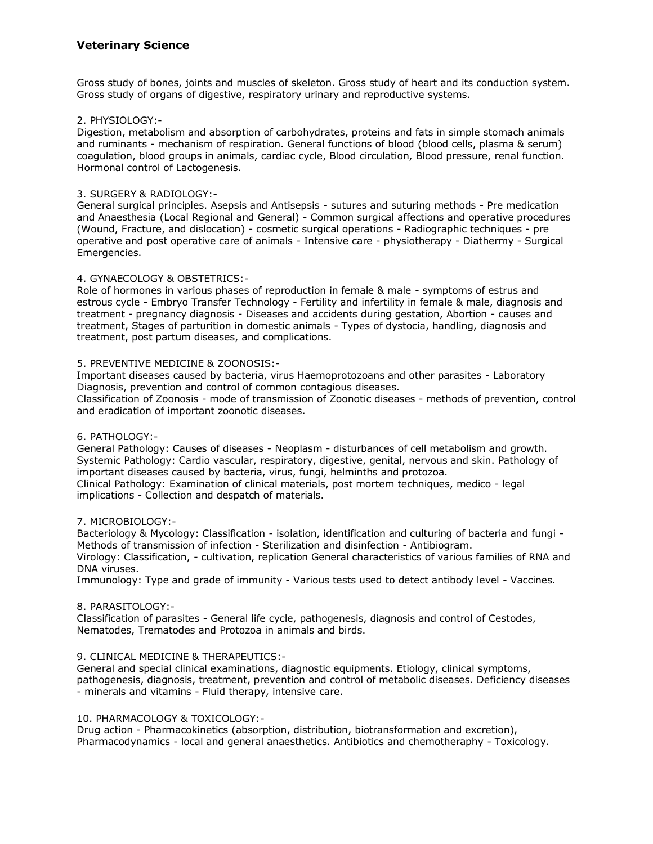# **Veterinary Science**

Gross study of bones, joints and muscles of skeleton. Gross study of heart and its conduction system. Gross study of organs of digestive, respiratory urinary and reproductive systems.

## 2. PHYSIOLOGY:-

Digestion, metabolism and absorption of carbohydrates, proteins and fats in simple stomach animals and ruminants - mechanism of respiration. General functions of blood (blood cells, plasma & serum) coagulation, blood groups in animals, cardiac cycle, Blood circulation, Blood pressure, renal function. Hormonal control of Lactogenesis.

#### 3. SURGERY & RADIOLOGY:-

General surgical principles. Asepsis and Antisepsis - sutures and suturing methods - Pre medication and Anaesthesia (Local Regional and General) - Common surgical affections and operative procedures (Wound, Fracture, and dislocation) - cosmetic surgical operations - Radiographic techniques - pre operative and post operative care of animals - Intensive care - physiotherapy - Diathermy - Surgical Emergencies.

#### 4. GYNAECOLOGY & OBSTETRICS:-

Role of hormones in various phases of reproduction in female & male - symptoms of estrus and estrous cycle - Embryo Transfer Technology - Fertility and infertility in female & male, diagnosis and treatment - pregnancy diagnosis - Diseases and accidents during gestation, Abortion - causes and treatment, Stages of parturition in domestic animals - Types of dystocia, handling, diagnosis and treatment, post partum diseases, and complications.

#### 5. PREVENTIVE MEDICINE & ZOONOSIS:-

Important diseases caused by bacteria, virus Haemoprotozoans and other parasites - Laboratory Diagnosis, prevention and control of common contagious diseases.

Classification of Zoonosis - mode of transmission of Zoonotic diseases - methods of prevention, control and eradication of important zoonotic diseases.

## 6. PATHOLOGY:-

General Pathology: Causes of diseases - Neoplasm - disturbances of cell metabolism and growth. Systemic Pathology: Cardio vascular, respiratory, digestive, genital, nervous and skin. Pathology of important diseases caused by bacteria, virus, fungi, helminths and protozoa.

Clinical Pathology: Examination of clinical materials, post mortem techniques, medico - legal implications - Collection and despatch of materials.

## 7. MICROBIOLOGY:-

Bacteriology & Mycology: Classification - isolation, identification and culturing of bacteria and fungi - Methods of transmission of infection - Sterilization and disinfection - Antibiogram. Virology: Classification, - cultivation, replication General characteristics of various families of RNA and DNA viruses.

Immunology: Type and grade of immunity - Various tests used to detect antibody level - Vaccines.

#### 8. PARASITOLOGY:-

Classification of parasites - General life cycle, pathogenesis, diagnosis and control of Cestodes, Nematodes, Trematodes and Protozoa in animals and birds.

## 9. CLINICAL MEDICINE & THERAPEUTICS:-

General and special clinical examinations, diagnostic equipments. Etiology, clinical symptoms, pathogenesis, diagnosis, treatment, prevention and control of metabolic diseases. Deficiency diseases - minerals and vitamins - Fluid therapy, intensive care.

## 10. PHARMACOLOGY & TOXICOLOGY:-

Drug action - Pharmacokinetics (absorption, distribution, biotransformation and excretion), Pharmacodynamics - local and general anaesthetics. Antibiotics and chemotheraphy - Toxicology.